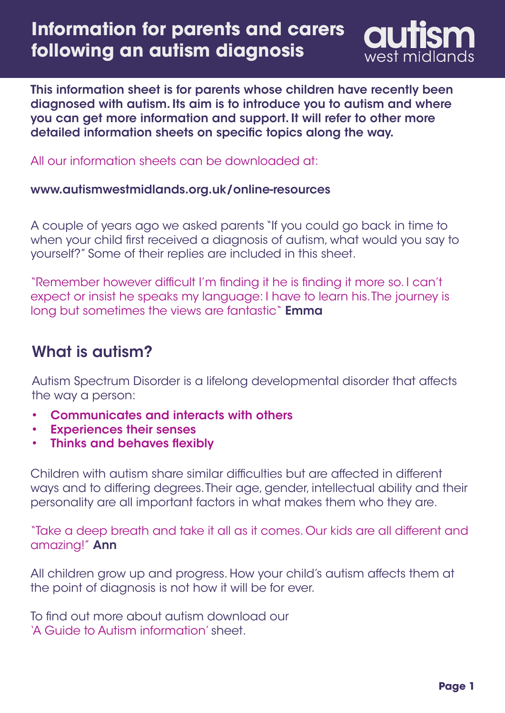

This information sheet is for parents whose children have recently been diagnosed with autism. Its aim is to introduce you to autism and where you can get more information and support. It will refer to other more detailed information sheets on specific topics along the way.

All our information sheets can be downloaded at:

#### [www.autismwestmidlands.org.uk/online-resources](https://www.autismwestmidlands.org.uk/online-resources/)

A couple of years ago we asked parents "If you could go back in time to when your child first received a diagnosis of autism, what would you say to yourself?" Some of their replies are included in this sheet.

"Remember however difficult I'm finding it he is finding it more so. I can't expect or insist he speaks my language: I have to learn his. The journey is long but sometimes the views are fantastic" **Emma** 

## What is autism?

Autism Spectrum Disorder is a lifelong developmental disorder that affects the way a person:

- Communicates and interacts with others •
- Experiences their senses •
- Thinks and behaves flexibly •

Children with autism share similar difficulties but are affected in different ways and to differing degrees. Their age, gender, intellectual ability and their personality are all important factors in what makes them who they are.

"Take a deep breath and take it all as it comes. Our kids are all different and amazing!" Ann

All children grow up and progress. How your child's autism affects them at the point of diagnosis is not how it will be for ever.

To find out more about autism download our ['A Guide to Autism information'](https://www.autismwestmidlands.org.uk/asset/2018/09/A_Guide_to_Autism_Sept_2018.pdf) sheet.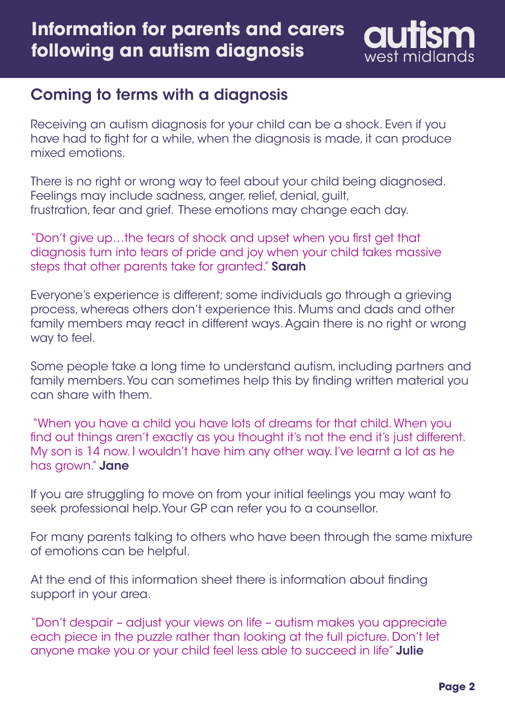

## Coming to terms with a diagnosis

Receiving an autism diagnosis for your child can be a shock. Even if you have had to fight for a while, when the diagnosis is made, it can produce mixed emotions.

There is no right or wrong way to feel about your child being diagnosed. Feelings may include sadness, anger, relief, denial, guilt, frustration, fear and grief. These emotions may change each day.

"Don't give up…the tears of shock and upset when you first get that diagnosis turn into tears of pride and joy when your child takes massive steps that other parents take for granted." Sarah

Everyone's experience is different; some individuals go through a grieving process, whereas others don't experience this. Mums and dads and other family members may react in different ways. Again there is no right or wrong way to feel.

Some people take a long time to understand autism, including partners and family members. You can sometimes help this by finding written material you can share with them.

"When you have a child you have lots of dreams for that child. When you find out things aren't exactly as you thought it's not the end it's just different. My son is 14 now. I wouldn't have him any other way. I've learnt a lot as he has grown." Jane

If you are struggling to move on from your initial feelings you may want to seek professional help. Your GP can refer you to a counsellor.

For many parents talking to others who have been through the same mixture of emotions can be helpful.

At the end of this information sheet there is information about finding support in your area.

"Don't despair – adjust your views on life – autism makes you appreciate each piece in the puzzle rather than looking at the full picture. Don't let anyone make you or your child feel less able to succeed in life" Julie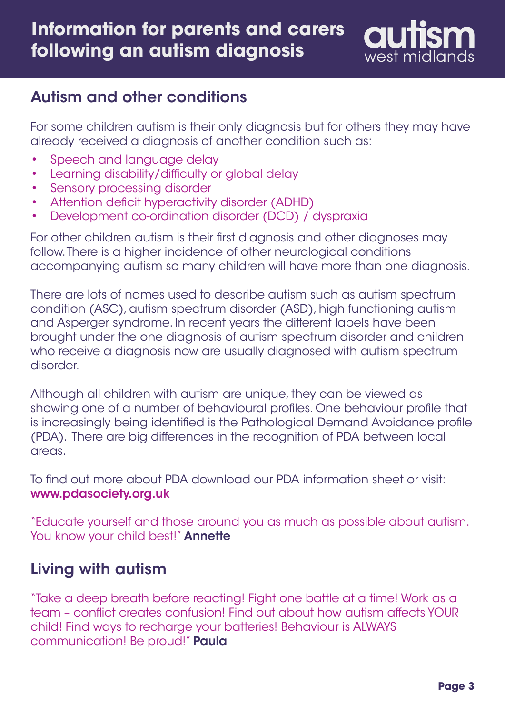

## Autism and other conditions

For some children autism is their only diagnosis but for others they may have already received a diagnosis of another condition such as:

- Speech and language delay •
- Learning disability/difficulty or global delay •
- Sensory processing disorder •
- Attention deficit hyperactivity disorder (ADHD) •
- Development co-ordination disorder (DCD) / dyspraxia •

For other children autism is their first diagnosis and other diagnoses may follow. There is a higher incidence of other neurological conditions accompanying autism so many children will have more than one diagnosis.

There are lots of names used to describe autism such as autism spectrum condition (ASC), autism spectrum disorder (ASD), high functioning autism and Asperger syndrome. In recent years the different labels have been brought under the one diagnosis of autism spectrum disorder and children who receive a diagnosis now are usually diagnosed with autism spectrum disorder.

Although all children with autism are unique, they can be viewed as showing one of a number of behavioural profiles. One behaviour profile that is increasingly being identified is the Pathological Demand Avoidance profile (PDA). There are big differences in the recognition of PDA between local areas.

To find out more about PDA download our PDA information sheet or visit: [www.pdasociety.org.uk](https://www.pdasociety.org.uk)

"Educate yourself and those around you as much as possible about autism. You know your child best!" **Annette** 

### Living with autism

"Take a deep breath before reacting! Fight one battle at a time! Work as a team – conflict creates confusion! Find out about how autism affects YOUR child! Find ways to recharge your batteries! Behaviour is ALWAYS communication! Be proud!" Paula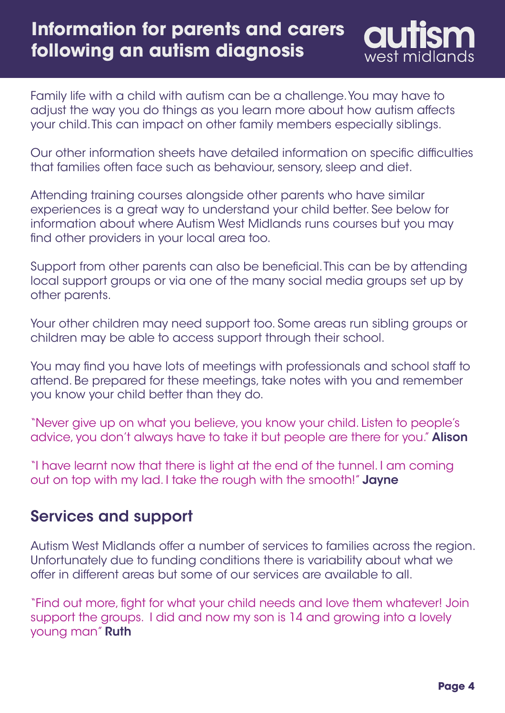Family life with a child with autism can be a challenge. You may have to adjust the way you do things as you learn more about how autism affects your child. This can impact on other family members especially siblings.

Our other information sheets have detailed information on specific difficulties that families often face such as behaviour, sensory, sleep and diet.

Attending training courses alongside other parents who have similar experiences is a great way to understand your child better. See below for information about where Autism West Midlands runs courses but you may find other providers in your local area too.

Support from other parents can also be beneficial. This can be by attending local support groups or via one of the many social media groups set up by other parents.

Your other children may need support too. Some areas run sibling groups or children may be able to access support through their school.

You may find you have lots of meetings with professionals and school staff to attend. Be prepared for these meetings, take notes with you and remember you know your child better than they do.

"Never give up on what you believe, you know your child. Listen to people's advice, you don't always have to take it but people are there for you." **Alison** 

"I have learnt now that there is light at the end of the tunnel. I am coming out on top with my lad. I take the rough with the smooth!" Jayne

#### Services and support

Autism West Midlands offer a number of services to families across the region. Unfortunately due to funding conditions there is variability about what we offer in different areas but some of our services are available to all.

"Find out more, fight for what your child needs and love them whatever! Join support the groups. I did and now my son is 14 and growing into a lovely young man" Ruth

west midlands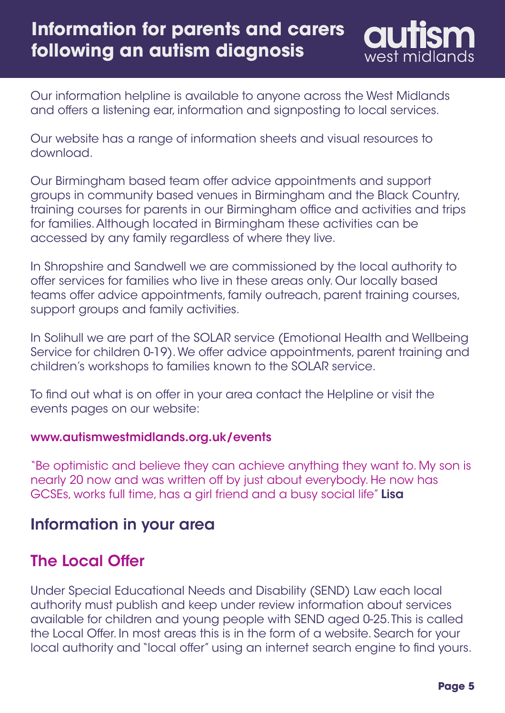west midlands

Our information helpline is available to anyone across the West Midlands and offers a listening ear, information and signposting to local services.

Our website has a range of information sheets and visual resources to download.

Our Birmingham based team offer advice appointments and support groups in community based venues in Birmingham and the Black Country, training courses for parents in our Birmingham office and activities and trips for families. Although located in Birmingham these activities can be accessed by any family regardless of where they live.

In Shropshire and Sandwell we are commissioned by the local authority to offer services for families who live in these areas only. Our locally based teams offer advice appointments, family outreach, parent training courses, support groups and family activities.

In Solihull we are part of the SOLAR service (Emotional Health and Wellbeing Service for children 0-19). We offer advice appointments, parent training and children's workshops to families known to the SOLAR service.

To find out what is on offer in your area contact the Helpline or visit the events pages on our website:

#### [www.autismwestmidlands.org.uk/events](https://www.autismwestmidlands.org.uk/events/)

"Be optimistic and believe they can achieve anything they want to. My son is nearly 20 now and was written off by just about everybody. He now has GCSEs, works full time, has a girl friend and a busy social life" Lisa

#### Information in your area

### The Local Offer

Under Special Educational Needs and Disability (SEND) Law each local authority must publish and keep under review information about services available for children and young people with SEND aged 0-25. This is called the Local Offer. In most areas this is in the form of a website. Search for your local authority and "local offer" using an internet search engine to find yours.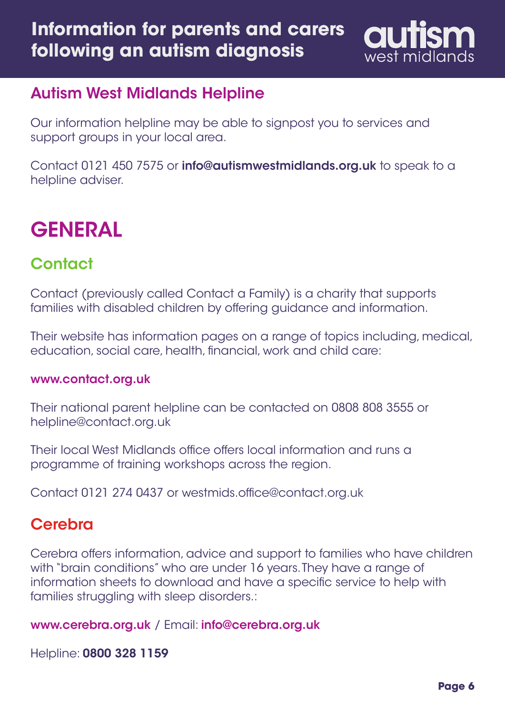

#### Autism West Midlands Helpline

Our information helpline may be able to signpost you to services and support groups in your local area.

Contact 0121 450 7575 or [info@autismwestmidlands.org.uk](mailto:info%40autismwestmidlands.org.uk?subject=) to speak to a helpline adviser.

# **GENERAL**

## **Contact**

Contact (previously called Contact a Family) is a charity that supports families with disabled children by offering guidance and information.

Their website has information pages on a range of topics including, medical, education, social care, health, financial, work and child care:

#### [www.contact.org.uk](https://contact.org.uk/)

Their national parent helpline can be contacted on 0808 808 3555 or helpline@contact.org.uk

Their local West Midlands office offers local information and runs a programme of training workshops across the region.

Contact 0121 274 0437 or westmids.office@contact.org.uk

### **Cerebra**

Cerebra offers information, advice and support to families who have children with "brain conditions" who are under 16 years. They have a range of information sheets to download and have a specific service to help with families struggling with sleep disorders.:

[www.cerebra.org.uk](https://www.cerebra.org.uk) / Email: [info@cerebra.org.uk](mailto:info%40cerebra.org.uk?subject=)

Helpline: 0800 328 1159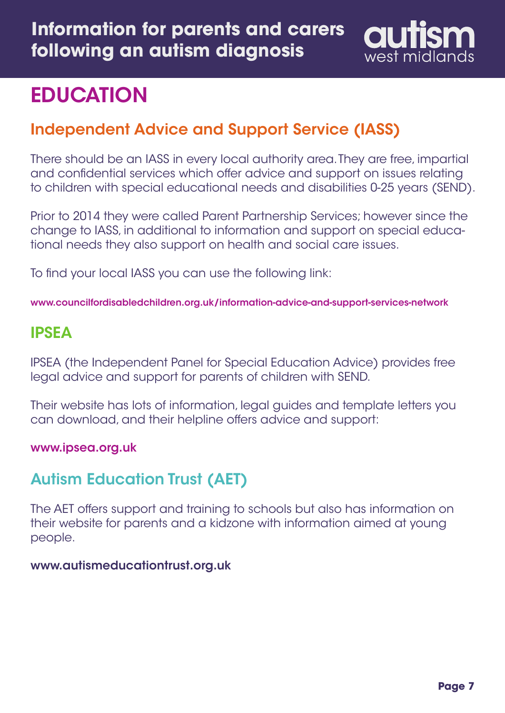

# **EDUCATION**

## Independent Advice and Support Service (IASS)

There should be an IASS in every local authority area. They are free, impartial and confidential services which offer advice and support on issues relating to children with special educational needs and disabilities 0-25 years (SEND).

Prior to 2014 they were called Parent Partnership Services; however since the change to IASS, in additional to information and support on special educational needs they also support on health and social care issues.

To find your local IASS you can use the following link:

www.[councilfordisabledchildren.org.uk/information-advice-and-support-services-network](https://councilfordisabledchildren.org.uk/information-advice-and-support-services-network)

## IPSEA

IPSEA (the Independent Panel for Special Education Advice) provides free legal advice and support for parents of children with SEND.

Their website has lots of information, legal guides and template letters you can download, and their helpline offers advice and support:

[www.ipsea.org.uk](https://www.ipsea.org.uk/)

## Autism Education Trust (AET)

The AET offers support and training to schools but also has information on their website for parents and a kidzone with information aimed at young people.

#### [www.autismeducationtrust.org.uk](https://www.autismeducationtrust.org.uk/)